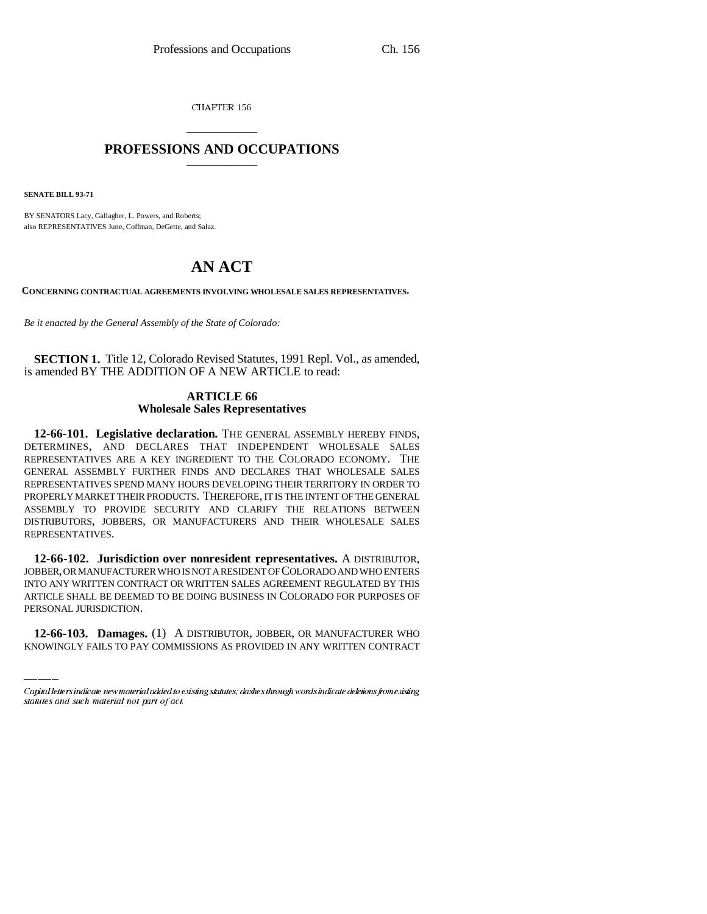CHAPTER 156

## \_\_\_\_\_\_\_\_\_\_\_\_\_\_\_ **PROFESSIONS AND OCCUPATIONS** \_\_\_\_\_\_\_\_\_\_\_\_\_\_\_

**SENATE BILL 93-71**

BY SENATORS Lacy, Gallagher, L. Powers, and Roberts; also REPRESENTATIVES June, Coffman, DeGette, and Salaz.

## **AN ACT**

**CONCERNING CONTRACTUAL AGREEMENTS INVOLVING WHOLESALE SALES REPRESENTATIVES.**

*Be it enacted by the General Assembly of the State of Colorado:*

**SECTION 1.** Title 12, Colorado Revised Statutes, 1991 Repl. Vol., as amended, is amended BY THE ADDITION OF A NEW ARTICLE to read:

## **ARTICLE 66 Wholesale Sales Representatives**

**12-66-101. Legislative declaration.** THE GENERAL ASSEMBLY HEREBY FINDS, DETERMINES, AND DECLARES THAT INDEPENDENT WHOLESALE SALES REPRESENTATIVES ARE A KEY INGREDIENT TO THE COLORADO ECONOMY. THE GENERAL ASSEMBLY FURTHER FINDS AND DECLARES THAT WHOLESALE SALES REPRESENTATIVES SPEND MANY HOURS DEVELOPING THEIR TERRITORY IN ORDER TO PROPERLY MARKET THEIR PRODUCTS. THEREFORE, IT IS THE INTENT OF THE GENERAL ASSEMBLY TO PROVIDE SECURITY AND CLARIFY THE RELATIONS BETWEEN DISTRIBUTORS, JOBBERS, OR MANUFACTURERS AND THEIR WHOLESALE SALES REPRESENTATIVES.

ARTICLE SHALL BE DEEMED TO BE DOING BUSINESS IN COLORADO FOR PURPOSES OF **12-66-102. Jurisdiction over nonresident representatives.** A DISTRIBUTOR, JOBBER, OR MANUFACTURER WHO IS NOT A RESIDENT OF COLORADO AND WHO ENTERS INTO ANY WRITTEN CONTRACT OR WRITTEN SALES AGREEMENT REGULATED BY THIS PERSONAL JURISDICTION.

**12-66-103. Damages.** (1) A DISTRIBUTOR, JOBBER, OR MANUFACTURER WHO KNOWINGLY FAILS TO PAY COMMISSIONS AS PROVIDED IN ANY WRITTEN CONTRACT

Capital letters indicate new material added to existing statutes; dashes through words indicate deletions from existing statutes and such material not part of act.